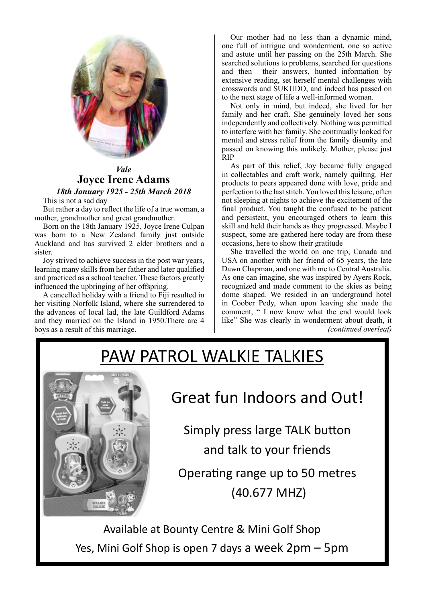

## *Vale* **Joyce Irene Adams**

*18th January 1925 - 25th March 2018*

This is not a sad day

But rather a day to reflect the life of a true woman, a mother, grandmother and great grandmother.

Born on the 18th January 1925, Joyce Irene Culpan was born to a New Zealand family just outside Auckland and has survived 2 elder brothers and a sister.

Joy strived to achieve success in the post war years, learning many skills from her father and later qualified and practiced as a school teacher. These factors greatly influenced the upbringing of her offspring.

A cancelled holiday with a friend to Fiji resulted in her visiting Norfolk Island, where she surrendered to the advances of local lad, the late Guildford Adams and they married on the Island in 1950.There are 4 boys as a result of this marriage.

Our mother had no less than a dynamic mind, one full of intrigue and wonderment, one so active and astute until her passing on the 25th March. She searched solutions to problems, searched for questions and then their answers, hunted information by extensive reading, set herself mental challenges with crosswords and SUKUDO, and indeed has passed on to the next stage of life a well-informed woman.

Not only in mind, but indeed, she lived for her family and her craft. She genuinely loved her sons independently and collectively. Nothing was permitted to interfere with her family. She continually looked for mental and stress relief from the family disunity and passed on knowing this unlikely. Mother, please just RIP

As part of this relief, Joy became fully engaged in collectables and craft work, namely quilting. Her products to peers appeared done with love, pride and perfection to the last stitch. You loved this leisure, often not sleeping at nights to achieve the excitement of the final product. You taught the confused to be patient and persistent, you encouraged others to learn this skill and held their hands as they progressed. Maybe I suspect, some are gathered here today are from these occasions, here to show their gratitude

She travelled the world on one trip, Canada and USA on another with her friend of 65 years, the late Dawn Chapman, and one with me to Central Australia. As one can imagine, she was inspired by Ayers Rock, recognized and made comment to the skies as being dome shaped. We resided in an underground hotel in Coober Pedy, when upon leaving she made the comment, " I now know what the end would look like" She was clearly in wonderment about death, it *(continued overleaf)*

# PAW PATROL WALKIE TALKIES



## Great fun Indoors and Out!

Simply press large TALK button and talk to your friends

Operating range up to 50 metres (40.677 MHZ)

Available at Bounty Centre & Mini Golf Shop Yes, Mini Golf Shop is open 7 days a week 2pm – 5pm